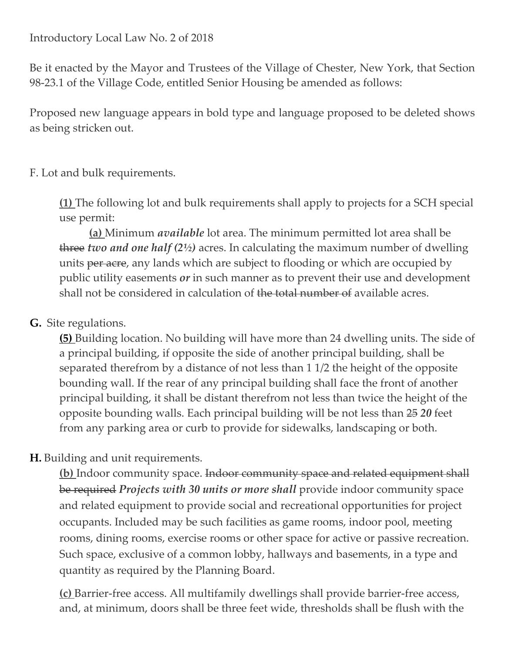Introductory Local Law No. 2 of 2018

Be it enacted by the Mayor and Trustees of the Village of Chester, New York, that Section 98‐23.1 of the Village Code, entitled Senior Housing be amended as follows:

Proposed new language appears in bold type and language proposed to be deleted shows as being stricken out.

## F. Lot and bulk requirements.

**(1)** The following lot and bulk requirements shall apply to projects for a SCH special use permit:

**(a)** Minimum *available* lot area. The minimum permitted lot area shall be three *two and one half (2½)* acres. In calculating the maximum number of dwelling units per acre, any lands which are subject to flooding or which are occupied by public utility easements *or* in such manner as to prevent their use and development shall not be considered in calculation of <del>the total number of</del> available acres.

## **G.** Site regulations.

**(5)** Building location. No building will have more than 24 dwelling units. The side of a principal building, if opposite the side of another principal building, shall be separated therefrom by a distance of not less than 1 1/2 the height of the opposite bounding wall. If the rear of any principal building shall face the front of another principal building, it shall be distant therefrom not less than twice the height of the opposite bounding walls. Each principal building will be not less than 25 *20* feet from any parking area or curb to provide for sidewalks, landscaping or both.

## **H.** Building and unit requirements.

**(b)** Indoor community space. Indoor community space and related equipment shall be required *Projects with 30 units or more shall* provide indoor community space and related equipment to provide social and recreational opportunities for project occupants. Included may be such facilities as game rooms, indoor pool, meeting rooms, dining rooms, exercise rooms or other space for active or passive recreation. Such space, exclusive of a common lobby, hallways and basements, in a type and quantity as required by the Planning Board.

**(c)** Barrier‐free access. All multifamily dwellings shall provide barrier‐free access, and, at minimum, doors shall be three feet wide, thresholds shall be flush with the